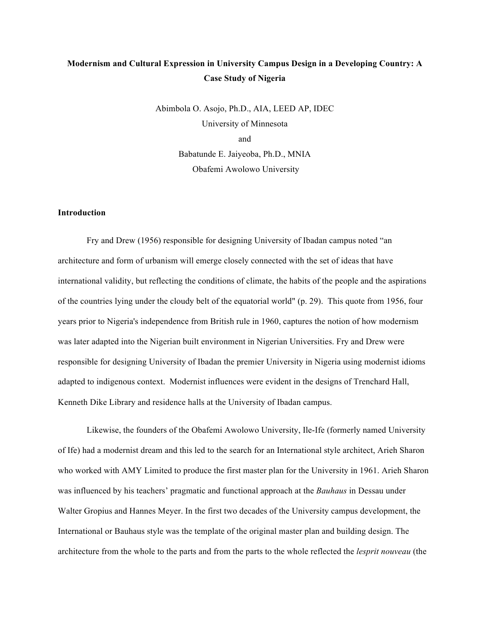# **Modernism and Cultural Expression in University Campus Design in a Developing Country: A Case Study of Nigeria**

Abimbola O. Asojo, Ph.D., AIA, LEED AP, IDEC University of Minnesota and Babatunde E. Jaiyeoba, Ph.D., MNIA Obafemi Awolowo University

## **Introduction**

Fry and Drew (1956) responsible for designing University of Ibadan campus noted "an architecture and form of urbanism will emerge closely connected with the set of ideas that have international validity, but reflecting the conditions of climate, the habits of the people and the aspirations of the countries lying under the cloudy belt of the equatorial world" (p. 29). This quote from 1956, four years prior to Nigeria's independence from British rule in 1960, captures the notion of how modernism was later adapted into the Nigerian built environment in Nigerian Universities. Fry and Drew were responsible for designing University of Ibadan the premier University in Nigeria using modernist idioms adapted to indigenous context. Modernist influences were evident in the designs of Trenchard Hall, Kenneth Dike Library and residence halls at the University of Ibadan campus.

Likewise, the founders of the Obafemi Awolowo University, Ile-Ife (formerly named University of Ife) had a modernist dream and this led to the search for an International style architect, Arieh Sharon who worked with AMY Limited to produce the first master plan for the University in 1961. Arieh Sharon was influenced by his teachers' pragmatic and functional approach at the *Bauhaus* in Dessau under Walter Gropius and Hannes Meyer. In the first two decades of the University campus development, the International or Bauhaus style was the template of the original master plan and building design. The architecture from the whole to the parts and from the parts to the whole reflected the *lesprit nouveau* (the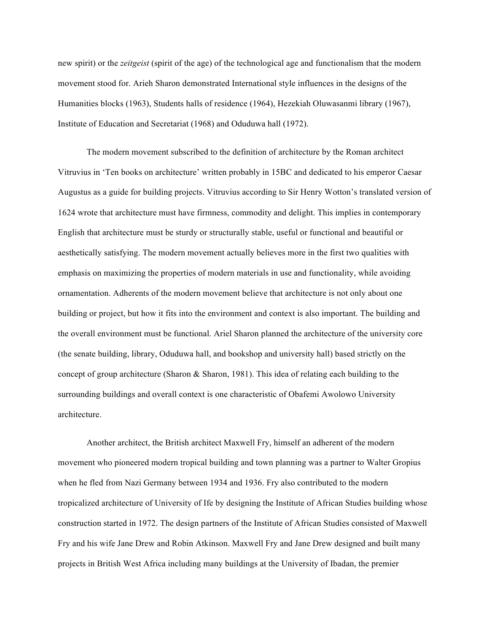new spirit) or the *zeitgeist* (spirit of the age) of the technological age and functionalism that the modern movement stood for. Arieh Sharon demonstrated International style influences in the designs of the Humanities blocks (1963), Students halls of residence (1964), Hezekiah Oluwasanmi library (1967), Institute of Education and Secretariat (1968) and Oduduwa hall (1972).

The modern movement subscribed to the definition of architecture by the Roman architect Vitruvius in 'Ten books on architecture' written probably in 15BC and dedicated to his emperor Caesar Augustus as a guide for building projects. Vitruvius according to Sir Henry Wotton's translated version of 1624 wrote that architecture must have firmness, commodity and delight. This implies in contemporary English that architecture must be sturdy or structurally stable, useful or functional and beautiful or aesthetically satisfying. The modern movement actually believes more in the first two qualities with emphasis on maximizing the properties of modern materials in use and functionality, while avoiding ornamentation. Adherents of the modern movement believe that architecture is not only about one building or project, but how it fits into the environment and context is also important. The building and the overall environment must be functional. Ariel Sharon planned the architecture of the university core (the senate building, library, Oduduwa hall, and bookshop and university hall) based strictly on the concept of group architecture (Sharon & Sharon, 1981). This idea of relating each building to the surrounding buildings and overall context is one characteristic of Obafemi Awolowo University architecture.

Another architect, the British architect Maxwell Fry, himself an adherent of the modern movement who pioneered modern tropical building and town planning was a partner to Walter Gropius when he fled from Nazi Germany between 1934 and 1936. Fry also contributed to the modern tropicalized architecture of University of Ife by designing the Institute of African Studies building whose construction started in 1972. The design partners of the Institute of African Studies consisted of Maxwell Fry and his wife Jane Drew and Robin Atkinson. Maxwell Fry and Jane Drew designed and built many projects in British West Africa including many buildings at the University of Ibadan, the premier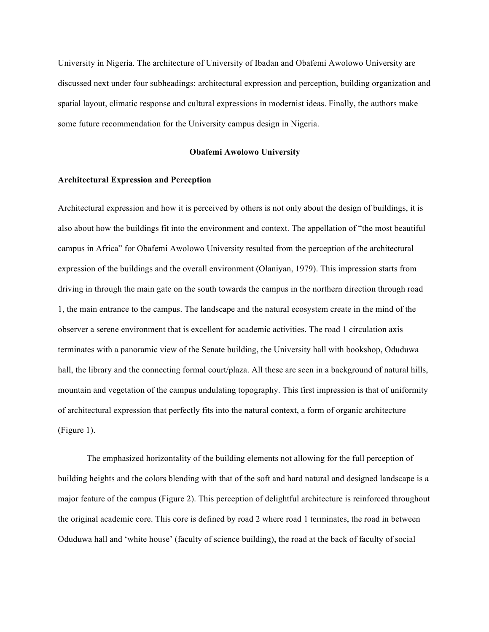University in Nigeria. The architecture of University of Ibadan and Obafemi Awolowo University are discussed next under four subheadings: architectural expression and perception, building organization and spatial layout, climatic response and cultural expressions in modernist ideas. Finally, the authors make some future recommendation for the University campus design in Nigeria.

### **Obafemi Awolowo University**

#### **Architectural Expression and Perception**

Architectural expression and how it is perceived by others is not only about the design of buildings, it is also about how the buildings fit into the environment and context. The appellation of "the most beautiful campus in Africa" for Obafemi Awolowo University resulted from the perception of the architectural expression of the buildings and the overall environment (Olaniyan, 1979). This impression starts from driving in through the main gate on the south towards the campus in the northern direction through road 1, the main entrance to the campus. The landscape and the natural ecosystem create in the mind of the observer a serene environment that is excellent for academic activities. The road 1 circulation axis terminates with a panoramic view of the Senate building, the University hall with bookshop, Oduduwa hall, the library and the connecting formal court/plaza. All these are seen in a background of natural hills, mountain and vegetation of the campus undulating topography. This first impression is that of uniformity of architectural expression that perfectly fits into the natural context, a form of organic architecture (Figure 1).

The emphasized horizontality of the building elements not allowing for the full perception of building heights and the colors blending with that of the soft and hard natural and designed landscape is a major feature of the campus (Figure 2). This perception of delightful architecture is reinforced throughout the original academic core. This core is defined by road 2 where road 1 terminates, the road in between Oduduwa hall and 'white house' (faculty of science building), the road at the back of faculty of social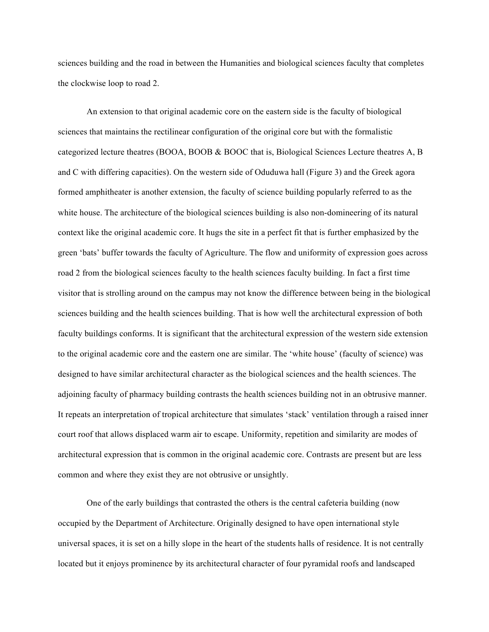sciences building and the road in between the Humanities and biological sciences faculty that completes the clockwise loop to road 2.

An extension to that original academic core on the eastern side is the faculty of biological sciences that maintains the rectilinear configuration of the original core but with the formalistic categorized lecture theatres (BOOA, BOOB & BOOC that is, Biological Sciences Lecture theatres A, B and C with differing capacities). On the western side of Oduduwa hall (Figure 3) and the Greek agora formed amphitheater is another extension, the faculty of science building popularly referred to as the white house. The architecture of the biological sciences building is also non-domineering of its natural context like the original academic core. It hugs the site in a perfect fit that is further emphasized by the green 'bats' buffer towards the faculty of Agriculture. The flow and uniformity of expression goes across road 2 from the biological sciences faculty to the health sciences faculty building. In fact a first time visitor that is strolling around on the campus may not know the difference between being in the biological sciences building and the health sciences building. That is how well the architectural expression of both faculty buildings conforms. It is significant that the architectural expression of the western side extension to the original academic core and the eastern one are similar. The 'white house' (faculty of science) was designed to have similar architectural character as the biological sciences and the health sciences. The adjoining faculty of pharmacy building contrasts the health sciences building not in an obtrusive manner. It repeats an interpretation of tropical architecture that simulates 'stack' ventilation through a raised inner court roof that allows displaced warm air to escape. Uniformity, repetition and similarity are modes of architectural expression that is common in the original academic core. Contrasts are present but are less common and where they exist they are not obtrusive or unsightly.

One of the early buildings that contrasted the others is the central cafeteria building (now occupied by the Department of Architecture. Originally designed to have open international style universal spaces, it is set on a hilly slope in the heart of the students halls of residence. It is not centrally located but it enjoys prominence by its architectural character of four pyramidal roofs and landscaped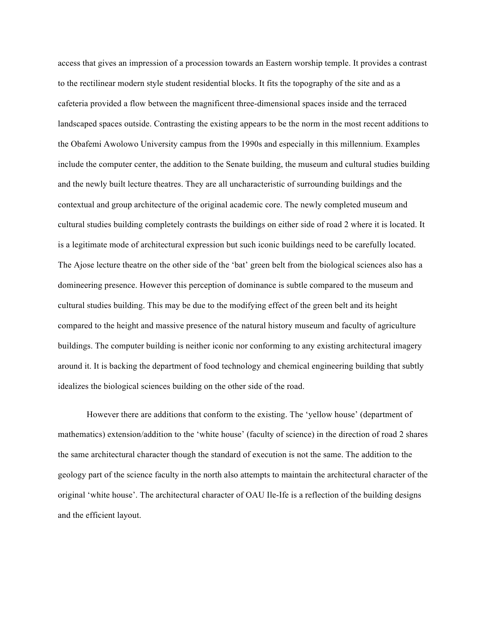access that gives an impression of a procession towards an Eastern worship temple. It provides a contrast to the rectilinear modern style student residential blocks. It fits the topography of the site and as a cafeteria provided a flow between the magnificent three-dimensional spaces inside and the terraced landscaped spaces outside. Contrasting the existing appears to be the norm in the most recent additions to the Obafemi Awolowo University campus from the 1990s and especially in this millennium. Examples include the computer center, the addition to the Senate building, the museum and cultural studies building and the newly built lecture theatres. They are all uncharacteristic of surrounding buildings and the contextual and group architecture of the original academic core. The newly completed museum and cultural studies building completely contrasts the buildings on either side of road 2 where it is located. It is a legitimate mode of architectural expression but such iconic buildings need to be carefully located. The Ajose lecture theatre on the other side of the 'bat' green belt from the biological sciences also has a domineering presence. However this perception of dominance is subtle compared to the museum and cultural studies building. This may be due to the modifying effect of the green belt and its height compared to the height and massive presence of the natural history museum and faculty of agriculture buildings. The computer building is neither iconic nor conforming to any existing architectural imagery around it. It is backing the department of food technology and chemical engineering building that subtly idealizes the biological sciences building on the other side of the road.

However there are additions that conform to the existing. The 'yellow house' (department of mathematics) extension/addition to the 'white house' (faculty of science) in the direction of road 2 shares the same architectural character though the standard of execution is not the same. The addition to the geology part of the science faculty in the north also attempts to maintain the architectural character of the original 'white house'. The architectural character of OAU Ile-Ife is a reflection of the building designs and the efficient layout.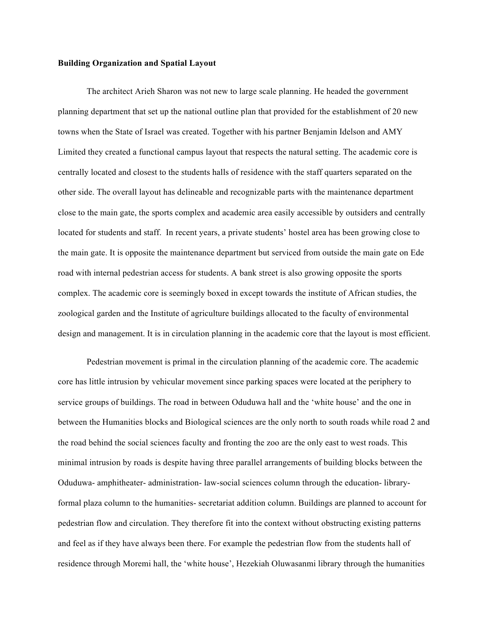### **Building Organization and Spatial Layout**

The architect Arieh Sharon was not new to large scale planning. He headed the government planning department that set up the national outline plan that provided for the establishment of 20 new towns when the State of Israel was created. Together with his partner Benjamin Idelson and AMY Limited they created a functional campus layout that respects the natural setting. The academic core is centrally located and closest to the students halls of residence with the staff quarters separated on the other side. The overall layout has delineable and recognizable parts with the maintenance department close to the main gate, the sports complex and academic area easily accessible by outsiders and centrally located for students and staff. In recent years, a private students' hostel area has been growing close to the main gate. It is opposite the maintenance department but serviced from outside the main gate on Ede road with internal pedestrian access for students. A bank street is also growing opposite the sports complex. The academic core is seemingly boxed in except towards the institute of African studies, the zoological garden and the Institute of agriculture buildings allocated to the faculty of environmental design and management. It is in circulation planning in the academic core that the layout is most efficient.

Pedestrian movement is primal in the circulation planning of the academic core. The academic core has little intrusion by vehicular movement since parking spaces were located at the periphery to service groups of buildings. The road in between Oduduwa hall and the 'white house' and the one in between the Humanities blocks and Biological sciences are the only north to south roads while road 2 and the road behind the social sciences faculty and fronting the zoo are the only east to west roads. This minimal intrusion by roads is despite having three parallel arrangements of building blocks between the Oduduwa- amphitheater- administration- law-social sciences column through the education- libraryformal plaza column to the humanities- secretariat addition column. Buildings are planned to account for pedestrian flow and circulation. They therefore fit into the context without obstructing existing patterns and feel as if they have always been there. For example the pedestrian flow from the students hall of residence through Moremi hall, the 'white house', Hezekiah Oluwasanmi library through the humanities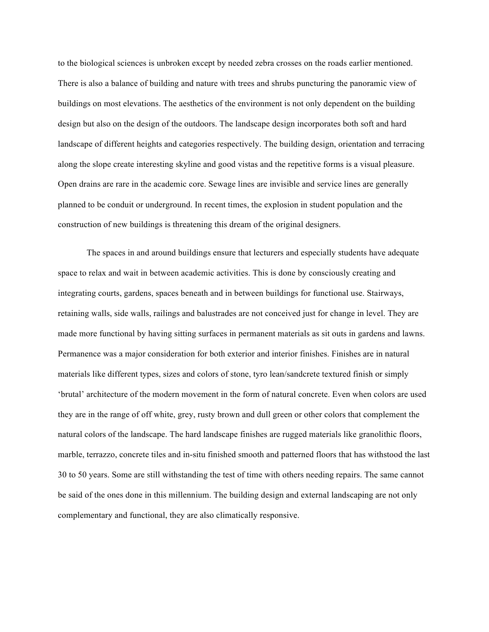to the biological sciences is unbroken except by needed zebra crosses on the roads earlier mentioned. There is also a balance of building and nature with trees and shrubs puncturing the panoramic view of buildings on most elevations. The aesthetics of the environment is not only dependent on the building design but also on the design of the outdoors. The landscape design incorporates both soft and hard landscape of different heights and categories respectively. The building design, orientation and terracing along the slope create interesting skyline and good vistas and the repetitive forms is a visual pleasure. Open drains are rare in the academic core. Sewage lines are invisible and service lines are generally planned to be conduit or underground. In recent times, the explosion in student population and the construction of new buildings is threatening this dream of the original designers.

The spaces in and around buildings ensure that lecturers and especially students have adequate space to relax and wait in between academic activities. This is done by consciously creating and integrating courts, gardens, spaces beneath and in between buildings for functional use. Stairways, retaining walls, side walls, railings and balustrades are not conceived just for change in level. They are made more functional by having sitting surfaces in permanent materials as sit outs in gardens and lawns. Permanence was a major consideration for both exterior and interior finishes. Finishes are in natural materials like different types, sizes and colors of stone, tyro lean/sandcrete textured finish or simply 'brutal' architecture of the modern movement in the form of natural concrete. Even when colors are used they are in the range of off white, grey, rusty brown and dull green or other colors that complement the natural colors of the landscape. The hard landscape finishes are rugged materials like granolithic floors, marble, terrazzo, concrete tiles and in-situ finished smooth and patterned floors that has withstood the last 30 to 50 years. Some are still withstanding the test of time with others needing repairs. The same cannot be said of the ones done in this millennium. The building design and external landscaping are not only complementary and functional, they are also climatically responsive.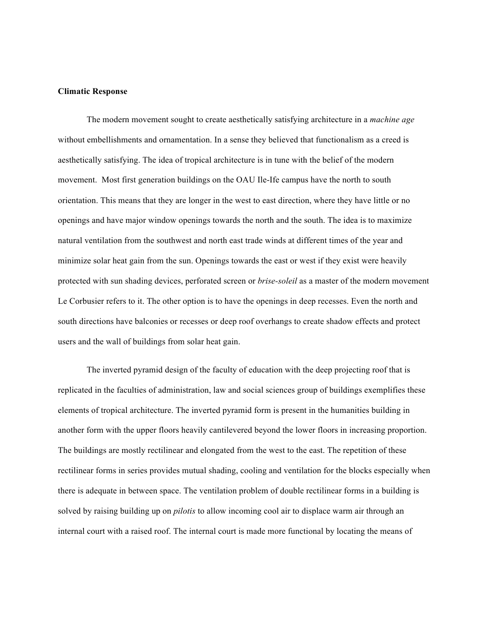#### **Climatic Response**

The modern movement sought to create aesthetically satisfying architecture in a *machine age*  without embellishments and ornamentation. In a sense they believed that functionalism as a creed is aesthetically satisfying. The idea of tropical architecture is in tune with the belief of the modern movement. Most first generation buildings on the OAU Ile-Ife campus have the north to south orientation. This means that they are longer in the west to east direction, where they have little or no openings and have major window openings towards the north and the south. The idea is to maximize natural ventilation from the southwest and north east trade winds at different times of the year and minimize solar heat gain from the sun. Openings towards the east or west if they exist were heavily protected with sun shading devices, perforated screen or *brise-soleil* as a master of the modern movement Le Corbusier refers to it. The other option is to have the openings in deep recesses. Even the north and south directions have balconies or recesses or deep roof overhangs to create shadow effects and protect users and the wall of buildings from solar heat gain.

The inverted pyramid design of the faculty of education with the deep projecting roof that is replicated in the faculties of administration, law and social sciences group of buildings exemplifies these elements of tropical architecture. The inverted pyramid form is present in the humanities building in another form with the upper floors heavily cantilevered beyond the lower floors in increasing proportion. The buildings are mostly rectilinear and elongated from the west to the east. The repetition of these rectilinear forms in series provides mutual shading, cooling and ventilation for the blocks especially when there is adequate in between space. The ventilation problem of double rectilinear forms in a building is solved by raising building up on *pilotis* to allow incoming cool air to displace warm air through an internal court with a raised roof. The internal court is made more functional by locating the means of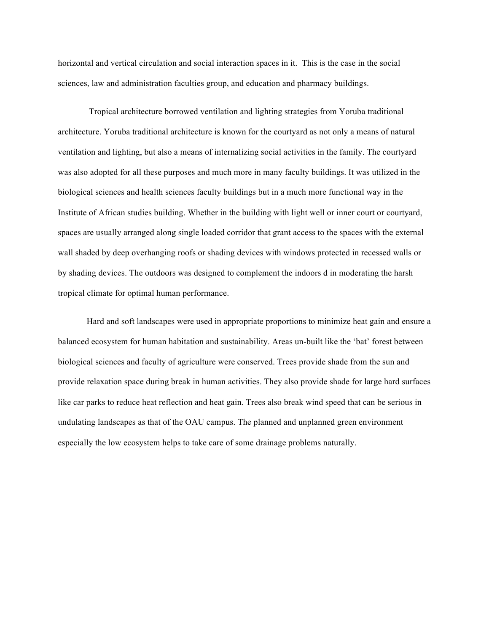horizontal and vertical circulation and social interaction spaces in it. This is the case in the social sciences, law and administration faculties group, and education and pharmacy buildings.

Tropical architecture borrowed ventilation and lighting strategies from Yoruba traditional architecture. Yoruba traditional architecture is known for the courtyard as not only a means of natural ventilation and lighting, but also a means of internalizing social activities in the family. The courtyard was also adopted for all these purposes and much more in many faculty buildings. It was utilized in the biological sciences and health sciences faculty buildings but in a much more functional way in the Institute of African studies building. Whether in the building with light well or inner court or courtyard, spaces are usually arranged along single loaded corridor that grant access to the spaces with the external wall shaded by deep overhanging roofs or shading devices with windows protected in recessed walls or by shading devices. The outdoors was designed to complement the indoors d in moderating the harsh tropical climate for optimal human performance.

Hard and soft landscapes were used in appropriate proportions to minimize heat gain and ensure a balanced ecosystem for human habitation and sustainability. Areas un-built like the 'bat' forest between biological sciences and faculty of agriculture were conserved. Trees provide shade from the sun and provide relaxation space during break in human activities. They also provide shade for large hard surfaces like car parks to reduce heat reflection and heat gain. Trees also break wind speed that can be serious in undulating landscapes as that of the OAU campus. The planned and unplanned green environment especially the low ecosystem helps to take care of some drainage problems naturally.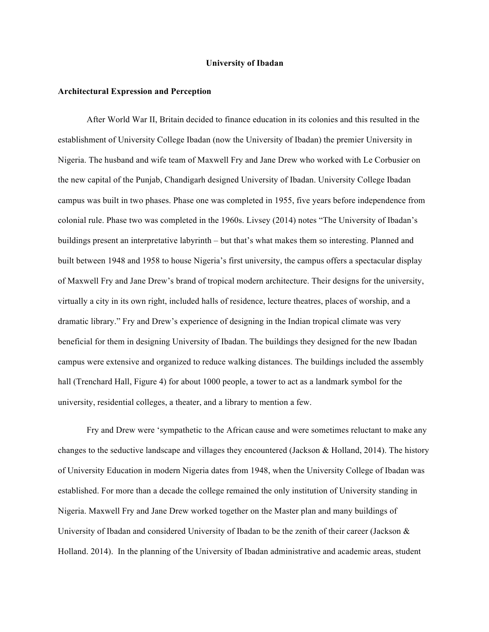#### **University of Ibadan**

#### **Architectural Expression and Perception**

After World War II, Britain decided to finance education in its colonies and this resulted in the establishment of University College Ibadan (now the University of Ibadan) the premier University in Nigeria. The husband and wife team of Maxwell Fry and Jane Drew who worked with Le Corbusier on the new capital of the Punjab, Chandigarh designed University of Ibadan. University College Ibadan campus was built in two phases. Phase one was completed in 1955, five years before independence from colonial rule. Phase two was completed in the 1960s. Livsey (2014) notes "The University of Ibadan's buildings present an interpretative labyrinth – but that's what makes them so interesting. Planned and built between 1948 and 1958 to house Nigeria's first university, the campus offers a spectacular display of Maxwell Fry and Jane Drew's brand of tropical modern architecture. Their designs for the university, virtually a city in its own right, included halls of residence, lecture theatres, places of worship, and a dramatic library." Fry and Drew's experience of designing in the Indian tropical climate was very beneficial for them in designing University of Ibadan. The buildings they designed for the new Ibadan campus were extensive and organized to reduce walking distances. The buildings included the assembly hall (Trenchard Hall, Figure 4) for about 1000 people, a tower to act as a landmark symbol for the university, residential colleges, a theater, and a library to mention a few.

Fry and Drew were 'sympathetic to the African cause and were sometimes reluctant to make any changes to the seductive landscape and villages they encountered (Jackson & Holland, 2014). The history of University Education in modern Nigeria dates from 1948, when the University College of Ibadan was established. For more than a decade the college remained the only institution of University standing in Nigeria. Maxwell Fry and Jane Drew worked together on the Master plan and many buildings of University of Ibadan and considered University of Ibadan to be the zenith of their career (Jackson & Holland. 2014). In the planning of the University of Ibadan administrative and academic areas, student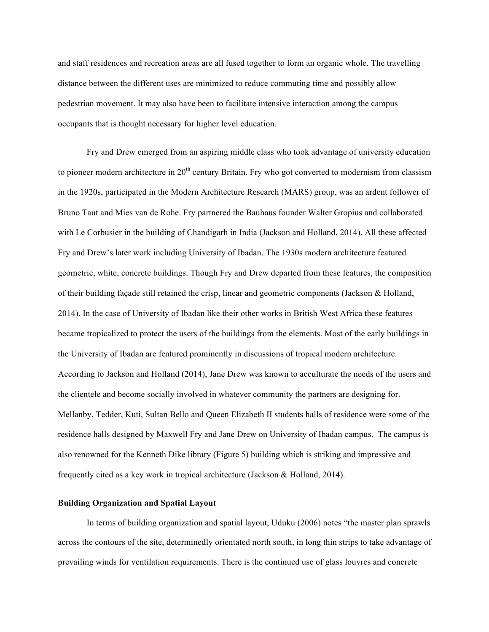and staff residences and recreation areas are all fused together to form an organic whole. The travelling distance between the different uses are minimized to reduce commuting time and possibly allow pedestrian movement. It may also have been to facilitate intensive interaction among the campus occupants that is thought necessary for higher level education.

Fry and Drew emerged from an aspiring middle class who took advantage of university education to pioneer modern architecture in  $20<sup>th</sup>$  century Britain. Fry who got converted to modernism from classism in the 1920s, participated in the Modern Architecture Research (MARS) group, was an ardent follower of Bruno Taut and Mies van de Rohe. Fry partnered the Bauhaus founder Walter Gropius and collaborated with Le Corbusier in the building of Chandigarh in India (Jackson and Holland, 2014). All these affected Fry and Drew's later work including University of Ibadan. The 1930s modern architecture featured geometric, white, concrete buildings. Though Fry and Drew departed from these features, the composition of their building façade still retained the crisp, linear and geometric components (Jackson & Holland, 2014). In the case of University of Ibadan like their other works in British West Africa these features became tropicalized to protect the users of the buildings from the elements. Most of the early buildings in the University of Ibadan are featured prominently in discussions of tropical modern architecture. According to Jackson and Holland (2014), Jane Drew was known to acculturate the needs of the users and the clientele and become socially involved in whatever community the partners are designing for. Mellanby, Tedder, Kuti, Sultan Bello and Queen Elizabeth II students halls of residence were some of the residence halls designed by Maxwell Fry and Jane Drew on University of Ibadan campus. The campus is also renowned for the Kenneth Dike library (Figure 5) building which is striking and impressive and frequently cited as a key work in tropical architecture (Jackson & Holland, 2014).

# **Building Organization and Spatial Layout**

In terms of building organization and spatial layout, Uduku (2006) notes "the master plan sprawls across the contours of the site, determinedly orientated north south, in long thin strips to take advantage of prevailing winds for ventilation requirements. There is the continued use of glass louvres and concrete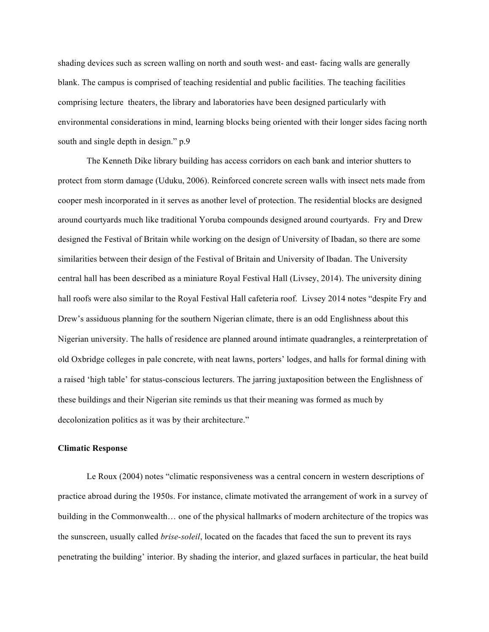shading devices such as screen walling on north and south west- and east- facing walls are generally blank. The campus is comprised of teaching residential and public facilities. The teaching facilities comprising lecture theaters, the library and laboratories have been designed particularly with environmental considerations in mind, learning blocks being oriented with their longer sides facing north south and single depth in design." p.9

The Kenneth Dike library building has access corridors on each bank and interior shutters to protect from storm damage (Uduku, 2006). Reinforced concrete screen walls with insect nets made from cooper mesh incorporated in it serves as another level of protection. The residential blocks are designed around courtyards much like traditional Yoruba compounds designed around courtyards. Fry and Drew designed the Festival of Britain while working on the design of University of Ibadan, so there are some similarities between their design of the Festival of Britain and University of Ibadan. The University central hall has been described as a miniature Royal Festival Hall (Livsey, 2014). The university dining hall roofs were also similar to the Royal Festival Hall cafeteria roof. Livsey 2014 notes "despite Fry and Drew's assiduous planning for the southern Nigerian climate, there is an odd Englishness about this Nigerian university. The halls of residence are planned around intimate quadrangles, a reinterpretation of old Oxbridge colleges in pale concrete, with neat lawns, porters' lodges, and halls for formal dining with a raised 'high table' for status-conscious lecturers. The jarring juxtaposition between the Englishness of these buildings and their Nigerian site reminds us that their meaning was formed as much by decolonization politics as it was by their architecture."

## **Climatic Response**

Le Roux (2004) notes "climatic responsiveness was a central concern in western descriptions of practice abroad during the 1950s. For instance, climate motivated the arrangement of work in a survey of building in the Commonwealth… one of the physical hallmarks of modern architecture of the tropics was the sunscreen, usually called *brise-soleil*, located on the facades that faced the sun to prevent its rays penetrating the building' interior. By shading the interior, and glazed surfaces in particular, the heat build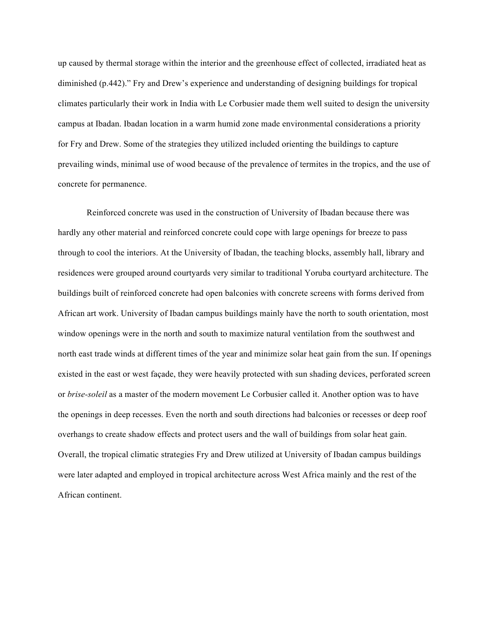up caused by thermal storage within the interior and the greenhouse effect of collected, irradiated heat as diminished (p.442)." Fry and Drew's experience and understanding of designing buildings for tropical climates particularly their work in India with Le Corbusier made them well suited to design the university campus at Ibadan. Ibadan location in a warm humid zone made environmental considerations a priority for Fry and Drew. Some of the strategies they utilized included orienting the buildings to capture prevailing winds, minimal use of wood because of the prevalence of termites in the tropics, and the use of concrete for permanence.

Reinforced concrete was used in the construction of University of Ibadan because there was hardly any other material and reinforced concrete could cope with large openings for breeze to pass through to cool the interiors. At the University of Ibadan, the teaching blocks, assembly hall, library and residences were grouped around courtyards very similar to traditional Yoruba courtyard architecture. The buildings built of reinforced concrete had open balconies with concrete screens with forms derived from African art work. University of Ibadan campus buildings mainly have the north to south orientation, most window openings were in the north and south to maximize natural ventilation from the southwest and north east trade winds at different times of the year and minimize solar heat gain from the sun. If openings existed in the east or west façade, they were heavily protected with sun shading devices, perforated screen or *brise-soleil* as a master of the modern movement Le Corbusier called it. Another option was to have the openings in deep recesses. Even the north and south directions had balconies or recesses or deep roof overhangs to create shadow effects and protect users and the wall of buildings from solar heat gain. Overall, the tropical climatic strategies Fry and Drew utilized at University of Ibadan campus buildings were later adapted and employed in tropical architecture across West Africa mainly and the rest of the African continent.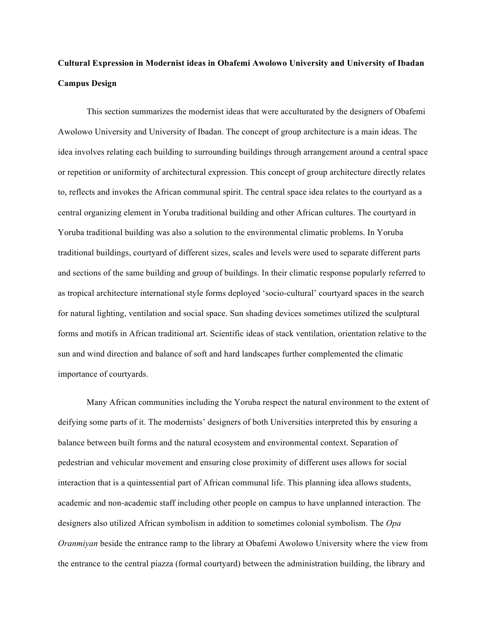# **Cultural Expression in Modernist ideas in Obafemi Awolowo University and University of Ibadan Campus Design**

This section summarizes the modernist ideas that were acculturated by the designers of Obafemi Awolowo University and University of Ibadan. The concept of group architecture is a main ideas. The idea involves relating each building to surrounding buildings through arrangement around a central space or repetition or uniformity of architectural expression. This concept of group architecture directly relates to, reflects and invokes the African communal spirit. The central space idea relates to the courtyard as a central organizing element in Yoruba traditional building and other African cultures. The courtyard in Yoruba traditional building was also a solution to the environmental climatic problems. In Yoruba traditional buildings, courtyard of different sizes, scales and levels were used to separate different parts and sections of the same building and group of buildings. In their climatic response popularly referred to as tropical architecture international style forms deployed 'socio-cultural' courtyard spaces in the search for natural lighting, ventilation and social space. Sun shading devices sometimes utilized the sculptural forms and motifs in African traditional art. Scientific ideas of stack ventilation, orientation relative to the sun and wind direction and balance of soft and hard landscapes further complemented the climatic importance of courtyards.

Many African communities including the Yoruba respect the natural environment to the extent of deifying some parts of it. The modernists' designers of both Universities interpreted this by ensuring a balance between built forms and the natural ecosystem and environmental context. Separation of pedestrian and vehicular movement and ensuring close proximity of different uses allows for social interaction that is a quintessential part of African communal life. This planning idea allows students, academic and non-academic staff including other people on campus to have unplanned interaction. The designers also utilized African symbolism in addition to sometimes colonial symbolism. The *Opa Oranmiyan* beside the entrance ramp to the library at Obafemi Awolowo University where the view from the entrance to the central piazza (formal courtyard) between the administration building, the library and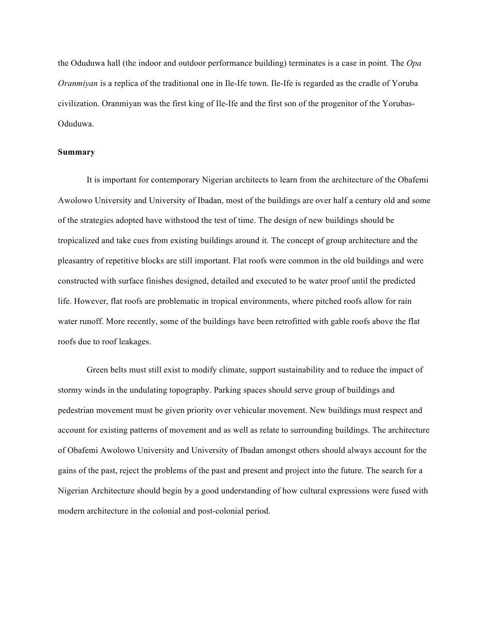the Oduduwa hall (the indoor and outdoor performance building) terminates is a case in point. The *Opa Oranmiyan* is a replica of the traditional one in Ile-Ife town. Ile-Ife is regarded as the cradle of Yoruba civilization. Oranmiyan was the first king of Ile-Ife and the first son of the progenitor of the Yorubas-Oduduwa.

#### **Summary**

It is important for contemporary Nigerian architects to learn from the architecture of the Obafemi Awolowo University and University of Ibadan, most of the buildings are over half a century old and some of the strategies adopted have withstood the test of time. The design of new buildings should be tropicalized and take cues from existing buildings around it. The concept of group architecture and the pleasantry of repetitive blocks are still important. Flat roofs were common in the old buildings and were constructed with surface finishes designed, detailed and executed to be water proof until the predicted life. However, flat roofs are problematic in tropical environments, where pitched roofs allow for rain water runoff. More recently, some of the buildings have been retrofitted with gable roofs above the flat roofs due to roof leakages.

Green belts must still exist to modify climate, support sustainability and to reduce the impact of stormy winds in the undulating topography. Parking spaces should serve group of buildings and pedestrian movement must be given priority over vehicular movement. New buildings must respect and account for existing patterns of movement and as well as relate to surrounding buildings. The architecture of Obafemi Awolowo University and University of Ibadan amongst others should always account for the gains of the past, reject the problems of the past and present and project into the future. The search for a Nigerian Architecture should begin by a good understanding of how cultural expressions were fused with modern architecture in the colonial and post-colonial period.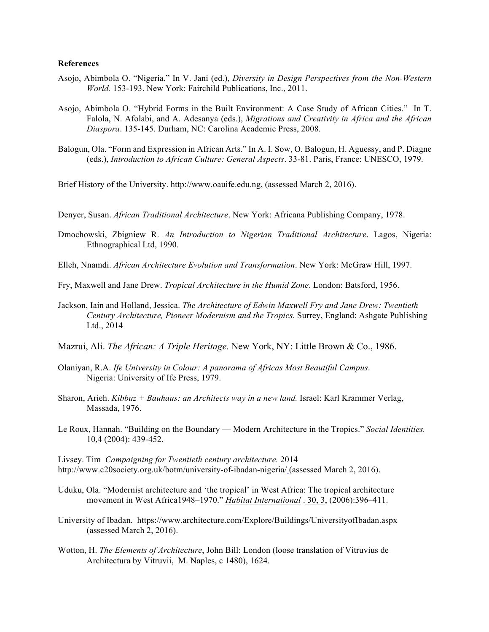# **References**

- Asojo, Abimbola O. "Nigeria." In V. Jani (ed.), *Diversity in Design Perspectives from the Non-Western World.* 153-193. New York: Fairchild Publications, Inc., 2011.
- Asojo, Abimbola O. "Hybrid Forms in the Built Environment: A Case Study of African Cities." In T. Falola, N. Afolabi, and A. Adesanya (eds.), *Migrations and Creativity in Africa and the African Diaspora*. 135-145. Durham, NC: Carolina Academic Press, 2008.
- Balogun, Ola. "Form and Expression in African Arts." In A. I. Sow, O. Balogun, H. Aguessy, and P. Diagne (eds.), *Introduction to African Culture: General Aspects*. 33-81. Paris, France: UNESCO, 1979.

Brief History of the University. http://www.oauife.edu.ng, (assessed March 2, 2016).

- Denyer, Susan. *African Traditional Architecture*. New York: Africana Publishing Company, 1978.
- Dmochowski, Zbigniew R. *An Introduction to Nigerian Traditional Architecture*. Lagos, Nigeria: Ethnographical Ltd, 1990.
- Elleh, Nnamdi. *African Architecture Evolution and Transformation*. New York: McGraw Hill, 1997.
- Fry, Maxwell and Jane Drew. *Tropical Architecture in the Humid Zone*. London: Batsford, 1956.
- Jackson, Iain and Holland, Jessica. *The Architecture of Edwin Maxwell Fry and Jane Drew: Twentieth Century Architecture, Pioneer Modernism and the Tropics.* Surrey, England: Ashgate Publishing Ltd., 2014
- Mazrui, Ali. *The African: A Triple Heritage.* New York, NY: Little Brown & Co., 1986.
- Olaniyan, R.A. *Ife University in Colour: A panorama of Africas Most Beautiful Campus*. Nigeria: University of Ife Press, 1979.
- Sharon, Arieh. *Kibbuz + Bauhaus: an Architects way in a new land.* Israel: Karl Krammer Verlag, Massada, 1976.
- Le Roux, Hannah. "Building on the Boundary Modern Architecture in the Tropics." *Social Identities.*  10,4 (2004): 439-452.

Livsey. Tim *Campaigning for Twentieth century architecture.* 2014 http://www.c20society.org.uk/botm/university-of-ibadan-nigeria/ (assessed March 2, 2016).

- Uduku, Ola. "Modernist architecture and 'the tropical' in West Africa: The tropical architecture movement in West Africa1948–1970." *Habitat International* . 30, 3, (2006):396–411.
- University of Ibadan. https://www.architecture.com/Explore/Buildings/UniversityofIbadan.aspx (assessed March 2, 2016).
- Wotton, H. *The Elements of Architecture*, John Bill: London (loose translation of Vitruvius de Architectura by Vitruvii, M. Naples, c 1480), 1624.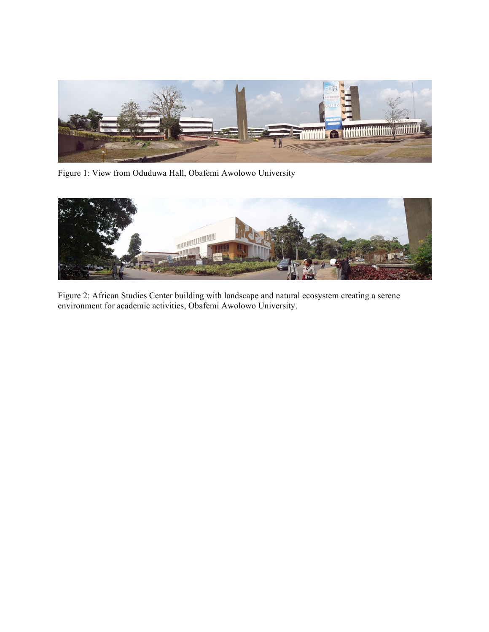

Figure 1: View from Oduduwa Hall, Obafemi Awolowo University



Figure 2: African Studies Center building with landscape and natural ecosystem creating a serene environment for academic activities, Obafemi Awolowo University.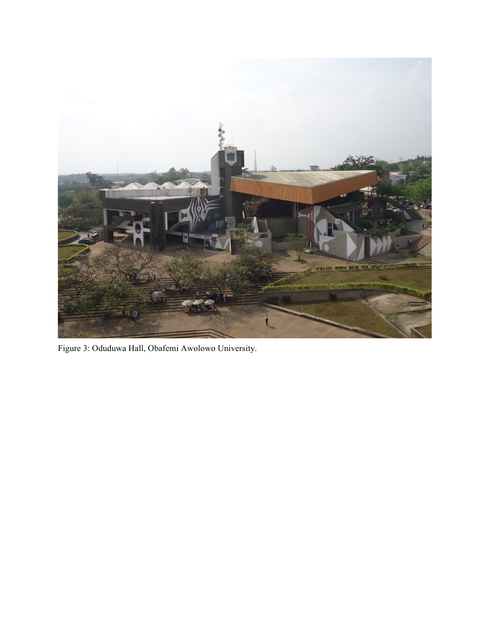

Figure 3: Oduduwa Hall, Obafemi Awolowo University.